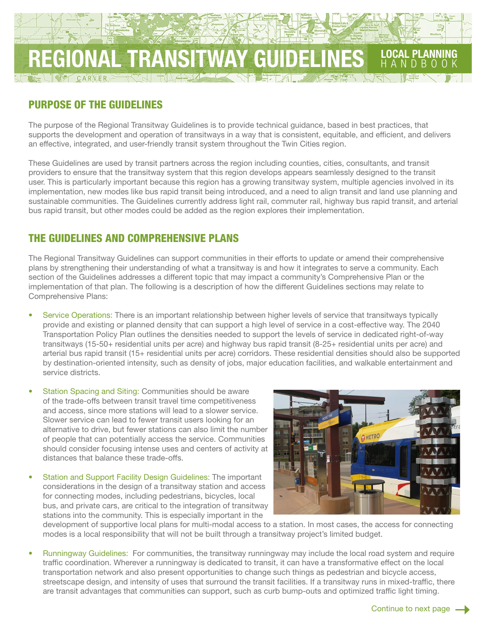

# PURPOSE OF THE GUIDELINES

The purpose of the Regional Transitway Guidelines is to provide technical guidance, based in best practices, that supports the development and operation of transitways in a way that is consistent, equitable, and efficient, and delivers an effective, integrated, and user-friendly transit system throughout the Twin Cities region.

These Guidelines are used by transit partners across the region including counties, cities, consultants, and transit providers to ensure that the transitway system that this region develops appears seamlessly designed to the transit user. This is particularly important because this region has a growing transitway system, multiple agencies involved in its implementation, new modes like bus rapid transit being introduced, and a need to align transit and land use planning and sustainable communities. The Guidelines currently address light rail, commuter rail, highway bus rapid transit, and arterial bus rapid transit, but other modes could be added as the region explores their implementation.

## THE GUIDELINES AND COMPREHENSIVE PLANS

The Regional Transitway Guidelines can support communities in their efforts to update or amend their comprehensive plans by strengthening their understanding of what a transitway is and how it integrates to serve a community. Each section of the Guidelines addresses a different topic that may impact a community's Comprehensive Plan or the implementation of that plan. The following is a description of how the different Guidelines sections may relate to Comprehensive Plans:

- Service Operations: There is an important relationship between higher levels of service that transitways typically provide and existing or planned density that can support a high level of service in a cost-effective way. The 2040 Transportation Policy Plan outlines the densities needed to support the levels of service in dedicated right-of-way transitways (15-50+ residential units per acre) and highway bus rapid transit (8-25+ residential units per acre) and arterial bus rapid transit (15+ residential units per acre) corridors. These residential densities should also be supported by destination-oriented intensity, such as density of jobs, major education facilities, and walkable entertainment and service districts.
- Station Spacing and Siting: Communities should be aware of the trade-offs between transit travel time competitiveness and access, since more stations will lead to a slower service. Slower service can lead to fewer transit users looking for an alternative to drive, but fewer stations can also limit the number of people that can potentially access the service. Communities should consider focusing intense uses and centers of activity at distances that balance these trade-offs.
- Station and Support Facility Design Guidelines: The important considerations in the design of a transitway station and access for connecting modes, including pedestrians, bicycles, local bus, and private cars, are critical to the integration of transitway stations into the community. This is especially important in the



development of supportive local plans for multi-modal access to a station. In most cases, the access for connecting modes is a local responsibility that will not be built through a transitway project's limited budget.

• Runningway Guidelines: For communities, the transitway runningway may include the local road system and require traffic coordination. Wherever a runningway is dedicated to transit, it can have a transformative effect on the local transportation network and also present opportunities to change such things as pedestrian and bicycle access, streetscape design, and intensity of uses that surround the transit facilities. If a transitway runs in mixed-traffic, there are transit advantages that communities can support, such as curb bump-outs and optimized traffic light timing.